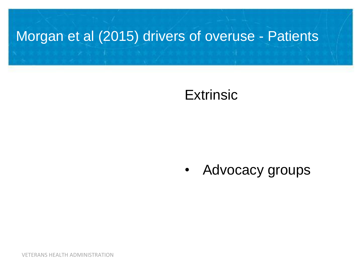Morgan et al (2015) drivers of overuse - Patients

#### **Extrinsic**

• Advocacy groups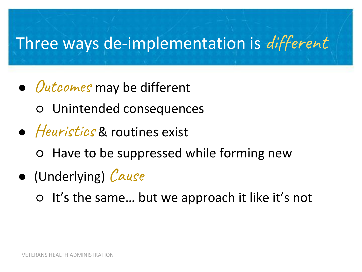# Three ways de-implementation is different

- Outcomes may be different
	- Unintended consequences
- Heuristics & routines exist
	- Have to be suppressed while forming new
- (Underlying) Cause
	- It's the same… but we approach it like it's not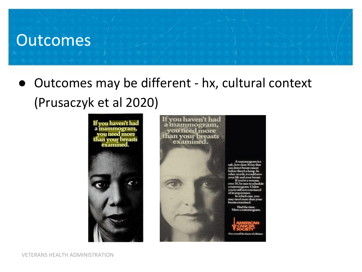# **Outcomes**

● Outcomes may be different - hx, cultural context (Prusaczyk et al 2020)



vou need more than your breasts examined.

> A manumogram is a omoeram. U you're still not convinced In which case, you need more than you asts examined. Find the time. Have a mammogram

> > and March 19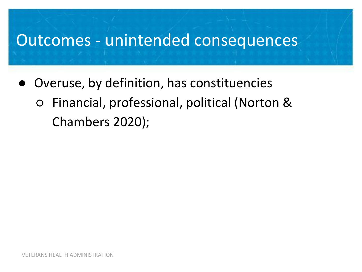# Outcomes - unintended consequences

● Overuse, by definition, has constituencies ○ Financial, professional, political (Norton & Chambers 2020);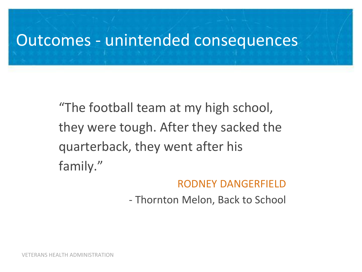### Outcomes - unintended consequences

"The football team at my high school, they were tough. After they sacked the quarterback, they went after his family."

#### [RODNEY DANGERFIELD](https://www.moviequotes.com/quotes-by/rodney-dangerfield/)

- Thornton Melon, Back to School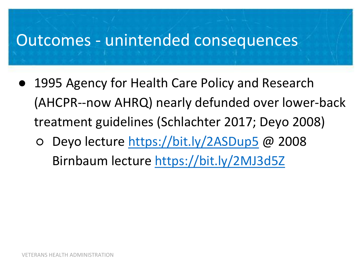# Outcomes - unintended consequences

- 1995 Agency for Health Care Policy and Research (AHCPR--now AHRQ) nearly defunded over lower-back treatment guidelines (Schlachter 2017; Deyo 2008)
	- Deyo lecture <https://bit.ly/2ASDup5>@ 2008 Birnbaum lecture <https://bit.ly/2MJ3d5Z>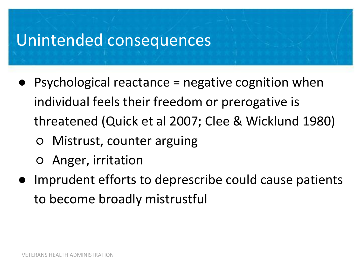# Unintended consequences

- Psychological reactance = negative cognition when individual feels their freedom or prerogative is threatened (Quick et al 2007; Clee & Wicklund 1980)
	- Mistrust, counter arguing
	- Anger, irritation
- Imprudent efforts to deprescribe could cause patients to become broadly mistrustful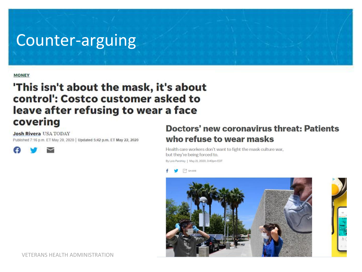## **Counter-arguing**

#### **MONEY**

#### 'This isn't about the mask, it's about control': Costco customer asked to leave after refusing to wear a face covering

**Josh Rivera USA TODAY** 

Published 7:16 p.m. ET May 20, 2020 | Updated 5:42 p.m. ET May 22, 2020



#### Doctors' new coronavirus threat: Patients who refuse to wear masks

Health care workers don't want to fight the mask culture war, but they're being forced to. By Lois Parshley | May 21, 2020, 3:40pm EDT

**C** SHARE



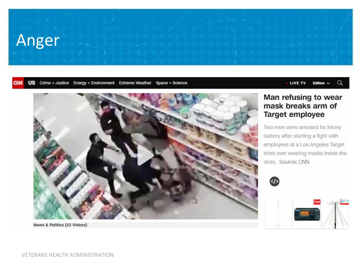# Anger

US Crime + Justice Energy + Environment Extreme Weather Space + Science



News & Politics (13 Videos)

#### Man refusing to wear mask breaks arm of Target employee

Two men were arrested for felony battery after starting a fight with employees at a Los Angeles Target store over wearing masks inside the store. Source: CNN





LIVE TV

 $\alpha$ 

Edition  $\vee$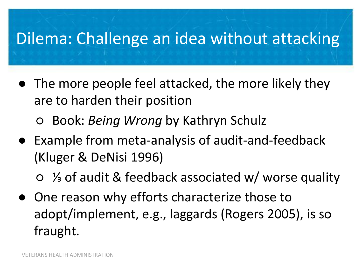# Dilema: Challenge an idea without attacking

● The more people feel attacked, the more likely they are to harden their position

○ Book: *Being Wrong* by Kathryn Schulz

- Example from meta-analysis of audit-and-feedback (Kluger & DeNisi 1996)
	- ⅓ of audit & feedback associated w/ worse quality
- One reason why efforts characterize those to adopt/implement, e.g., laggards (Rogers 2005), is so fraught.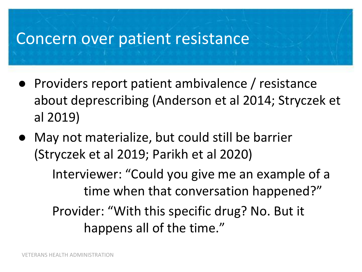#### Concern over patient resistance

- Providers report patient ambivalence / resistance about deprescribing (Anderson et al 2014; Stryczek et al 2019)
- May not materialize, but could still be barrier (Stryczek et al 2019; Parikh et al 2020)

Interviewer: "Could you give me an example of a time when that conversation happened?"

Provider: "With this specific drug? No. But it happens all of the time."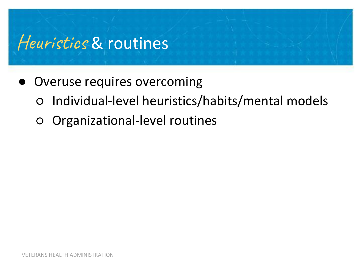# Heuristics & routines

- Overuse requires overcoming
	- Individual-level heuristics/habits/mental models
	- Organizational-level routines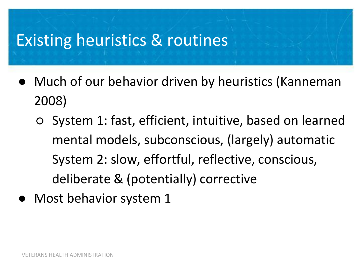# Existing heuristics & routines

- Much of our behavior driven by heuristics (Kanneman 2008)
	- System 1: fast, efficient, intuitive, based on learned mental models, subconscious, (largely) automatic System 2: slow, effortful, reflective, conscious, deliberate & (potentially) corrective
- Most behavior system 1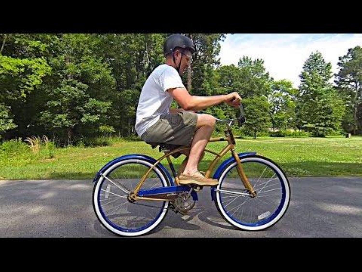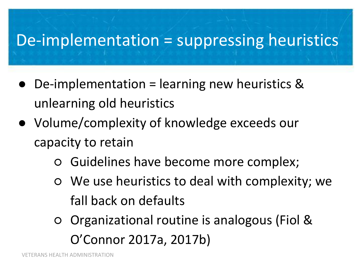# De-implementation = suppressing heuristics

- De-implementation = learning new heuristics & unlearning old heuristics
- Volume/complexity of knowledge exceeds our capacity to retain
	- Guidelines have become more complex;
	- We use heuristics to deal with complexity; we fall back on defaults
	- Organizational routine is analogous (Fiol & O'Connor 2017a, 2017b)

NS HEALTH ADMINISTRATION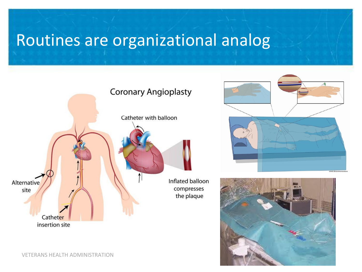# Routines are organizational analog





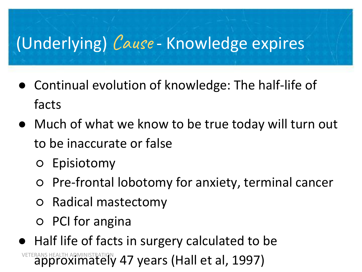# (Underlying) Cause - Knowledge expires

- Continual evolution of knowledge: The half-life of facts
- Much of what we know to be true today will turn out to be inaccurate or false
	- Episiotomy
	- Pre-frontal lobotomy for anxiety, terminal cancer
	- Radical mastectomy
	- PCI for angina
- Half life of facts in surgery calculated to be

ERANS HEALTH ADMINISTRATION 47 years (Hall et al, 1997)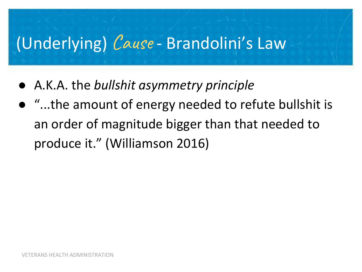# (Underlying) Cause - Brandolini's Law

- A.K.A. the *bullshit asymmetry principle*
- "...the amount of energy needed to refute bullshit is an order of magnitude bigger than that needed to produce it." (Williamson 2016)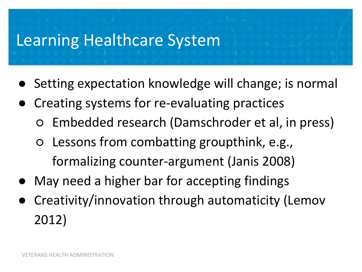# Learning Healthcare System

- Setting expectation knowledge will change; is normal
- Creating systems for re-evaluating practices
	- Embedded research (Damschroder et al, in press)
	- Lessons from combatting groupthink, e.g., formalizing counter-argument (Janis 2008)
- May need a higher bar for accepting findings
- Creativity/innovation through automaticity (Lemov 2012)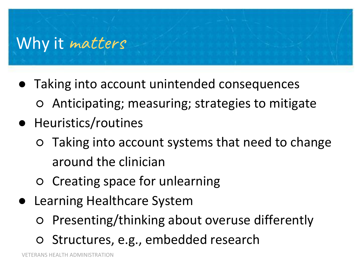# Why it matters

- Taking into account unintended consequences ○ Anticipating; measuring; strategies to mitigate
- Heuristics/routines
	- Taking into account systems that need to change around the clinician
	- Creating space for unlearning
- Learning Healthcare System
	- Presenting/thinking about overuse differently
	- Structures, e.g., embedded research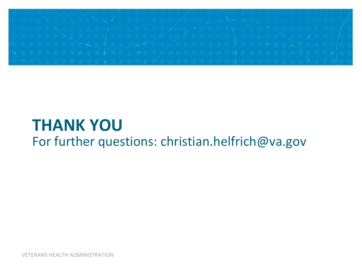

#### **THANK YOU**  For further questions: [christian.helfrich@va.gov](mailto:christian.helfrich@va.gov)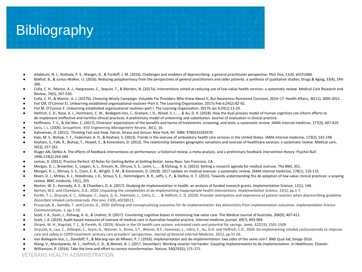

- Ailabouni, N. J., Nishtala, P. S., Mangin, D., & Tordoff, J. M. (2016). Challenges and enablers of deprescribing: a general practitioner perspective. PloS One, 11(4), e0151066.
- Bokhof, B., & Junius-Walker, U. (2016). Reducing polypharmacy from the perspectives of general practitioners and older patients: a synthesis of qualitative studies. Drugs & Aging, 33(4), 249- 266.
- Colla, C. H., Mainor, A. J., Hargreaves, C., Sequist, T., & Morden, N. (2017a). Interventions aimed at reducing use of low-value health services: a systematic review. Medical Care Research and Review, 74(5), 507-550.
- Colla, C. H., & Mainor, A. J. (2017b). Choosing Wisely Campaign: Valuable For Providers Who Knew About It. But Awareness Remained Constant, 2014–17. Health Affairs, 36(11), 2005-2011.
- Fiol CM, O'Connor EJ. Unlearning established organizational routines–Part II. The Learning Organization. 2017a Feb 6;24(2):82-92.
- Fiol M, O'Connor E. Unlearning established organizational routines–part I. The Learning Organization. 2017b Jan 9;24(1):13-29.
- Helfrich, C. D., Rose, A. J., Hartmann, C. W., Bodegom-Vos, L., Graham, I. D., Wood, S. J., ... & Au, D. H. (2018). How the dual process model of human cognition can inform efforts to de-implement ineffective and harmful clinical practices: A preliminary model of unlearning and substitution. Journal of evaluation in clinical practice.
- Hoffmann, T. C., & Del Mar, C. (2017). Clinicians' expectations of the benefits and harms of treatments, screening, and tests: a systematic review. JAMA internal medicine, 177(3), 407-419.
- Janis, I. L. (2008). Groupthink. *IEEE Engineering Management Review*, *36*(1), 36.
- Kahneman, D. (2011). Thinking Fast and Slow. Farrar, Straus and Giroux: New York, NY. ISBN: 9780141033570
- Kale, M. S., Bishop, T. F., Federman, A. D., & Keyhani, S. (2013). Trends in the overuse of ambulatory health care services in the United States. JAMA internal medicine, 173(2), 142-148.
- Keyhani, S., Falk, R., Bishop, T., Howell, E., & Korenstein, D. (2012). The relationship between geographic variations and overuse of healthcare services: a systematic review. Medical care, 50(3), 257-261.
- Kluger AN, DeNisi A. The effects of feedback interventions on performance: a historical review, a meta‐analysis, and a preliminary feedback intervention theory. Psychol Bull. 1996;119(2):254‐284
- Lemov, D. (2012). Practice Perfect: 42 Rules for Getting Better at Getting Better. Josey-Bass: San Francisco, CA.
- Morgan, D. J., Brownlee, S., Leppin, A. L., Kressin, N., Dhruva, S. S., Levin, L., ... & Elshaug, A. G. (2015). Setting a research agenda for medical overuse. The BMJ, 351.
- Morgan, D. J., Dhruva, S. S., Coon, E. R., Wright, S. M., & Korenstein, D. (2018). 2017 Update on medical overuse: a systematic review. JAMA internal medicine, 178(1), 110-115.
- Niven, D. J., Mrklas, K. J., Holodinsky, J. K., Straus, S. E., Hemmelgarn, B. R., Jeffs, L. P., & Stelfox, H. T. (2015). Towards understanding the de-adoption of low-value clinical practices: a scoping review. BMC medicine, 13(1), 255.
- Norton, W. E., Kennedy, A. E., & Chambers, D. A. (2017). Studying de-implementation in health: an analysis of funded research grants. Implementation Science, 12(1), 144.
- Norton, W.E. and Chambers, D.A., 2020. Unpacking the complexities of de-implementing inappropriate health interventions. *Implementation Science*, *15*(1), pp.1-7.
- Parikh, T. J., Stryczek, K. C., Gillespie, C., Sayre, G. G., Feemster, L., Udris, E., ... & Helfrich, C. D. (2020). Provider anticipation and experience of patient reaction when deprescribing guideline discordant inhaled corticosteroids. *Plos one*, *15*(9), e0238511.
- Prusaczyk, B., Swindle, T. and Curran, G., 2020. Defining and conceptualizing outcomes for de-implementation: key distinctions from implementation outcomes. *Implementation Science Communications*, *1*, pp.1-10.
- Scott, I. A., Soon, J., Elshaug, A. G., & Lindner, R. (2017). Countering cognitive biases in minimising low value care. The Medical Journal of Australia, 206(9), 407-411.
- Scott, I. A. (2019). Audit‐based measures of overuse of medical care in Australian hospital practice. *Internal medicine journal*, *49*(7), 893-904.
- Shrank, W. H., Rogstad, T. L., & Parekh, N. (2019). Waste in the US health care system: estimated costs and potential for savings. *Jama*, *322*(15), 1501-1509.
- Stryczek, K., Lea, C., Gillespie, C., Sayre, G., Wanner, S., Rinne, S.T., Wiener, R.S., Feemster, L., Udris, E., Au, D.H. and Helfrich, C.D., 2020. De-implementing inhaled corticosteroids to improve care and safety in COPD treatment: primary care providers' perspectives. *Journal of General Internal Medicine*, *35*(1), pp.51-56.
- Van Bodegom-Vos, L., Davidoff, F., & Marang-van de Mheen, P. J. (2016). Implementation and de-implementation: two sides of the same coin?. BMJ Qual Saf, bmjqs-2016.
- Wang, V., Maciejewski, M. L., Helfrich, C. D., & Weiner, B. J. (2017, December). Working smarter not harder: Coupling implementation to de-implementation. In Healthcare. Elsevier.
- Williamson, P. (2016). Take the time and effort to correct misinformation. Nature, 540(7632), 171-171.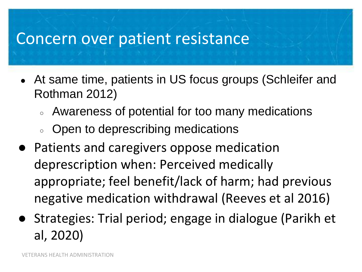#### Concern over patient resistance

- At same time, patients in US focus groups (Schleifer and Rothman 2012)
	- Awareness of potential for too many medications
	- Open to deprescribing medications
- Patients and caregivers oppose medication deprescription when: Perceived medically appropriate; feel benefit/lack of harm; had previous negative medication withdrawal (Reeves et al 2016)
- Strategies: Trial period; engage in dialogue (Parikh et al, 2020)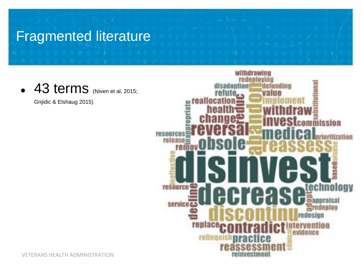#### Fragmented literature

 $\bullet$  43 terms (Niven et al, 2015;

Gnjidic & Elshaug 2015)

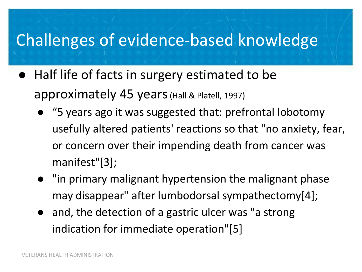# Challenges of evidence-based knowledge

- Half life of facts in surgery estimated to be approximately 45 years (Hall & Platell, 1997)
	- "5 years ago it was suggested that: prefrontal lobotomy usefully altered patients' reactions so that "no anxiety, fear, or concern over their impending death from cancer was manifest"[3];
	- Tin primary malignant hypertension the malignant phase may disappear" after lumbodorsal sympathectomy[4];
	- and, the detection of a gastric ulcer was "a strong indication for immediate operation"[5]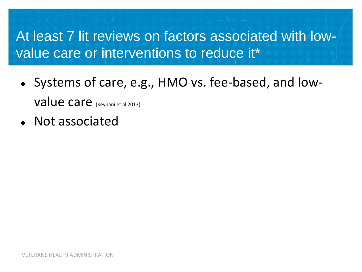- Systems of care, e.g., HMO vs. fee-based, and lowvalue care (Keyhani et al 2013)
- Not associated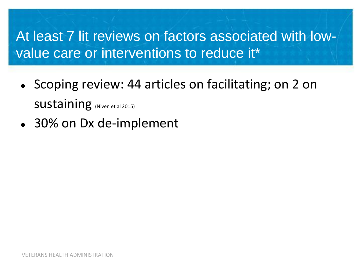- Scoping review: 44 articles on facilitating; on 2 on Sustaining (Niven et al 2015)
- 30% on Dx de-implement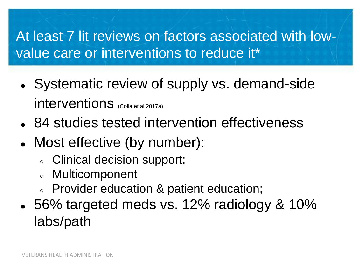- interventions (Colla et al 2017a) • Systematic review of supply vs. demand-side
- 84 studies tested intervention effectiveness
- Most effective (by number):
	- Clinical decision support;
	- Multicomponent
	- Provider education & patient education;
- $\cdot$  56% targeted meds vs. 12% radiology & 10% labs/path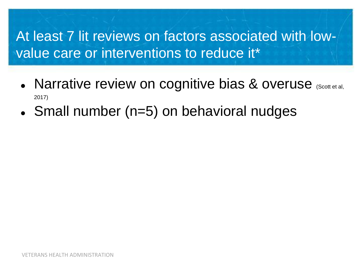- Narrative review on cognitive bias & overuse  $(S_{\text{coott et al.}})$ 2017)
- Small number  $(n=5)$  on behavioral nudges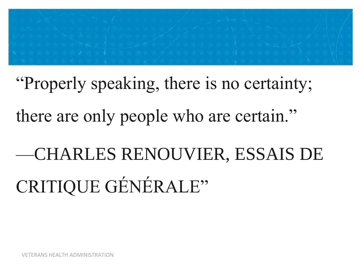

"Properly speaking, there is no certainty; there are only people who are certain." **CHARLES RENOUVIER, ESSAIS DE** CRITIQUE GÉNÉRALE"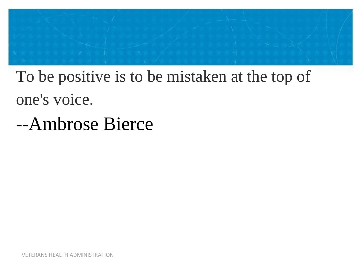

[To be positive is to be mistaken at the top of](https://www.azquotes.com/quote/26718)  one's voice.

--Ambrose Bierce